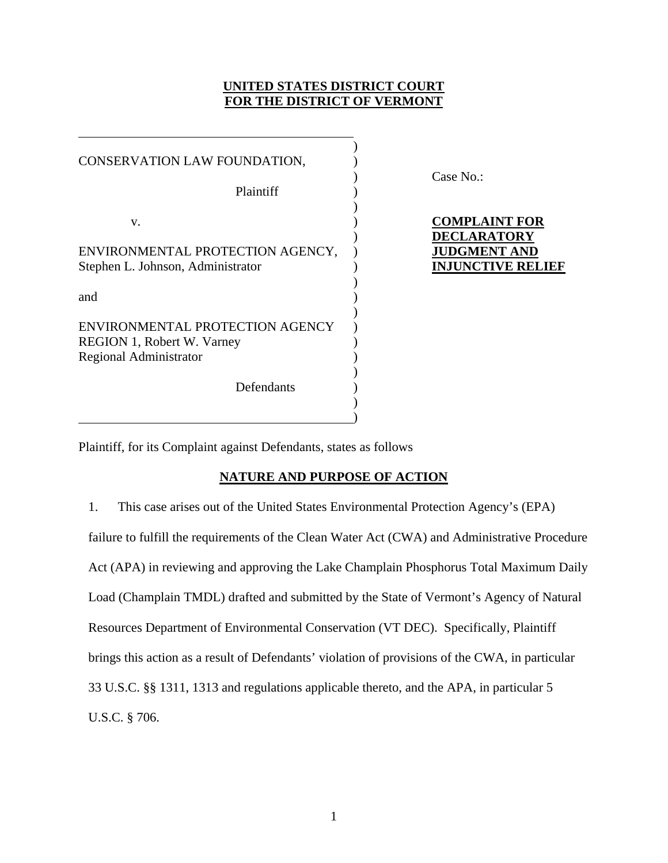# **UNITED STATES DISTRICT COURT FOR THE DISTRICT OF VERMONT**

| CONSERVATION LAW FOUNDATION,                                                                          |  |
|-------------------------------------------------------------------------------------------------------|--|
| Plaintiff                                                                                             |  |
| v.                                                                                                    |  |
| ENVIRONMENTAL PROTECTION AGENCY,<br>Stephen L. Johnson, Administrator                                 |  |
| and                                                                                                   |  |
| ENVIRONMENTAL PROTECTION AGENCY<br><b>REGION 1, Robert W. Varney</b><br><b>Regional Administrator</b> |  |
| Defendants                                                                                            |  |

 $\hspace{1.5cm}$  ) and the contract of the contract of the contract of the contract of the contract of the contract of the contract of the contract of the contract of the contract of the contract of the contract of the contrac

 $\overline{a}$ 

) Case No.:

# **COMPLAINT FOR** ) **DECLARATORY JUDGMENT AND INJUNCTIVE RELIEF**

Plaintiff, for its Complaint against Defendants, states as follows

# **NATURE AND PURPOSE OF ACTION**

1. This case arises out of the United States Environmental Protection Agency's (EPA) failure to fulfill the requirements of the Clean Water Act (CWA) and Administrative Procedure Act (APA) in reviewing and approving the Lake Champlain Phosphorus Total Maximum Daily Load (Champlain TMDL) drafted and submitted by the State of Vermont's Agency of Natural Resources Department of Environmental Conservation (VT DEC). Specifically, Plaintiff brings this action as a result of Defendants' violation of provisions of the CWA, in particular 33 U.S.C. §§ 1311, 1313 and regulations applicable thereto, and the APA, in particular 5 U.S.C. § 706.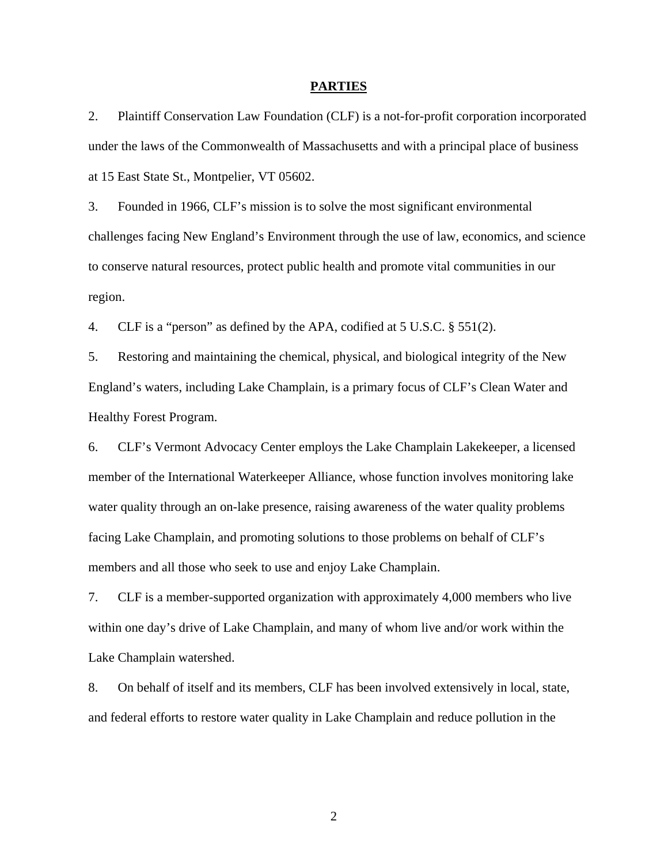### **PARTIES**

2. Plaintiff Conservation Law Foundation (CLF) is a not-for-profit corporation incorporated under the laws of the Commonwealth of Massachusetts and with a principal place of business at 15 East State St., Montpelier, VT 05602.

3. Founded in 1966, CLF's mission is to solve the most significant environmental challenges facing New England's Environment through the use of law, economics, and science to conserve natural resources, protect public health and promote vital communities in our region.

4. CLF is a "person" as defined by the APA, codified at 5 U.S.C. § 551(2).

5. Restoring and maintaining the chemical, physical, and biological integrity of the New England's waters, including Lake Champlain, is a primary focus of CLF's Clean Water and Healthy Forest Program.

6. CLF's Vermont Advocacy Center employs the Lake Champlain Lakekeeper, a licensed member of the International Waterkeeper Alliance, whose function involves monitoring lake water quality through an on-lake presence, raising awareness of the water quality problems facing Lake Champlain, and promoting solutions to those problems on behalf of CLF's members and all those who seek to use and enjoy Lake Champlain.

7. CLF is a member-supported organization with approximately 4,000 members who live within one day's drive of Lake Champlain, and many of whom live and/or work within the Lake Champlain watershed.

8. On behalf of itself and its members, CLF has been involved extensively in local, state, and federal efforts to restore water quality in Lake Champlain and reduce pollution in the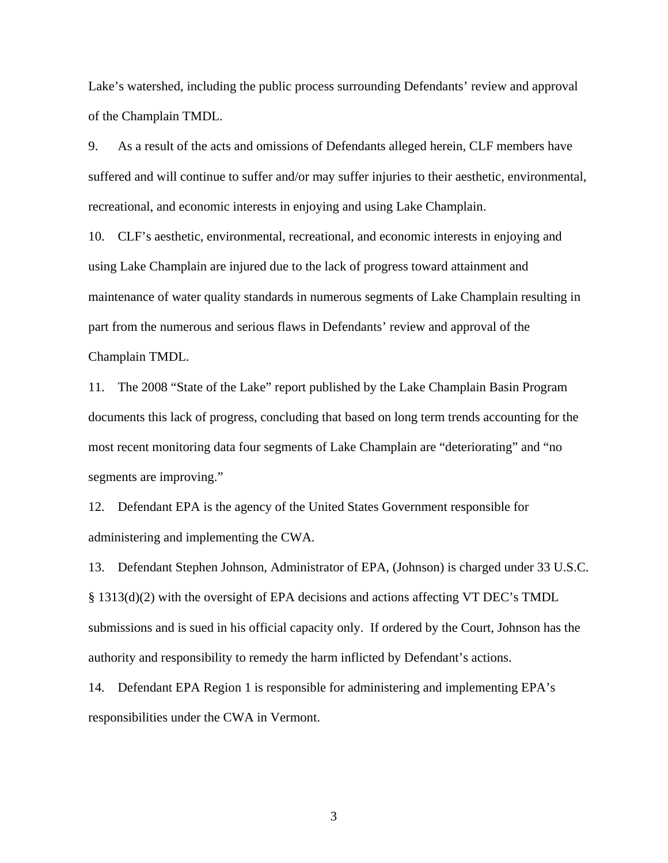Lake's watershed, including the public process surrounding Defendants' review and approval of the Champlain TMDL.

9. As a result of the acts and omissions of Defendants alleged herein, CLF members have suffered and will continue to suffer and/or may suffer injuries to their aesthetic, environmental, recreational, and economic interests in enjoying and using Lake Champlain.

10. CLF's aesthetic, environmental, recreational, and economic interests in enjoying and using Lake Champlain are injured due to the lack of progress toward attainment and maintenance of water quality standards in numerous segments of Lake Champlain resulting in part from the numerous and serious flaws in Defendants' review and approval of the Champlain TMDL.

11. The 2008 "State of the Lake" report published by the Lake Champlain Basin Program documents this lack of progress, concluding that based on long term trends accounting for the most recent monitoring data four segments of Lake Champlain are "deteriorating" and "no segments are improving."

12. Defendant EPA is the agency of the United States Government responsible for administering and implementing the CWA.

13. Defendant Stephen Johnson, Administrator of EPA, (Johnson) is charged under 33 U.S.C. § 1313(d)(2) with the oversight of EPA decisions and actions affecting VT DEC's TMDL submissions and is sued in his official capacity only. If ordered by the Court, Johnson has the authority and responsibility to remedy the harm inflicted by Defendant's actions.

14. Defendant EPA Region 1 is responsible for administering and implementing EPA's responsibilities under the CWA in Vermont.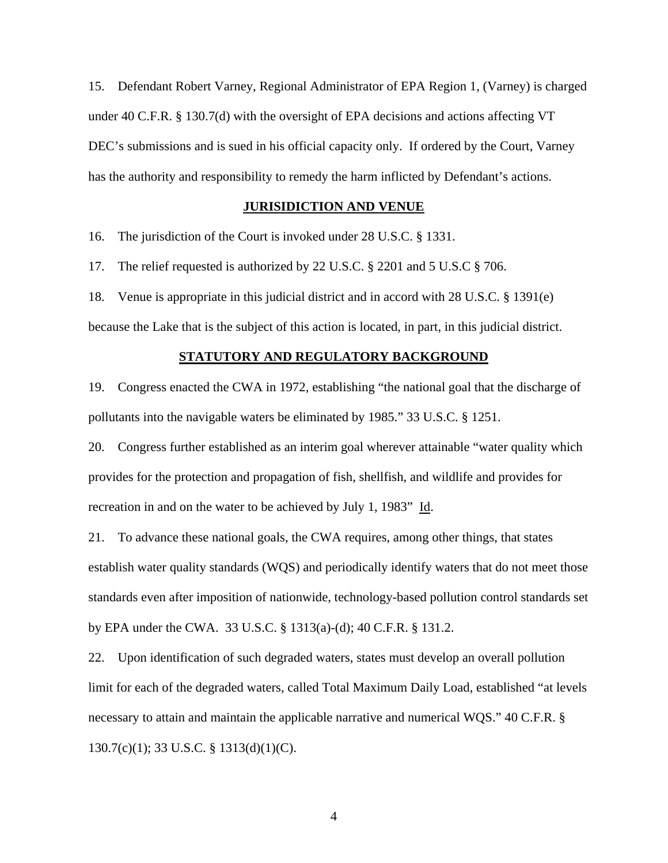15. Defendant Robert Varney, Regional Administrator of EPA Region 1, (Varney) is charged under 40 C.F.R. § 130.7(d) with the oversight of EPA decisions and actions affecting VT DEC's submissions and is sued in his official capacity only. If ordered by the Court, Varney has the authority and responsibility to remedy the harm inflicted by Defendant's actions.

## **JURISIDICTION AND VENUE**

16. The jurisdiction of the Court is invoked under 28 U.S.C. § 1331.

17. The relief requested is authorized by 22 U.S.C. § 2201 and 5 U.S.C § 706.

18. Venue is appropriate in this judicial district and in accord with 28 U.S.C. § 1391(e)

because the Lake that is the subject of this action is located, in part, in this judicial district.

#### **STATUTORY AND REGULATORY BACKGROUND**

19. Congress enacted the CWA in 1972, establishing "the national goal that the discharge of pollutants into the navigable waters be eliminated by 1985." 33 U.S.C. § 1251.

20. Congress further established as an interim goal wherever attainable "water quality which provides for the protection and propagation of fish, shellfish, and wildlife and provides for recreation in and on the water to be achieved by July 1, 1983" Id.

21. To advance these national goals, the CWA requires, among other things, that states establish water quality standards (WQS) and periodically identify waters that do not meet those standards even after imposition of nationwide, technology-based pollution control standards set by EPA under the CWA. 33 U.S.C. § 1313(a)-(d); 40 C.F.R. § 131.2.

22. Upon identification of such degraded waters, states must develop an overall pollution limit for each of the degraded waters, called Total Maximum Daily Load, established "at levels necessary to attain and maintain the applicable narrative and numerical WQS." 40 C.F.R. § 130.7(c)(1); 33 U.S.C. § 1313(d)(1)(C).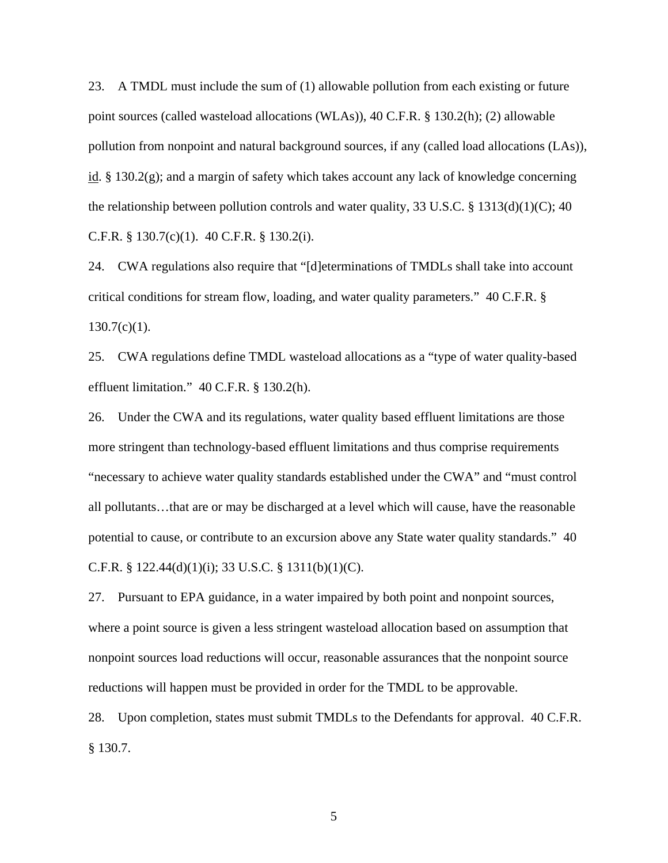23. A TMDL must include the sum of (1) allowable pollution from each existing or future point sources (called wasteload allocations (WLAs)), 40 C.F.R. § 130.2(h); (2) allowable pollution from nonpoint and natural background sources, if any (called load allocations (LAs)), id. § 130.2(g); and a margin of safety which takes account any lack of knowledge concerning the relationship between pollution controls and water quality, 33 U.S.C. § 1313(d)(1)(C); 40 C.F.R. § 130.7(c)(1). 40 C.F.R. § 130.2(i).

24. CWA regulations also require that "[d]eterminations of TMDLs shall take into account critical conditions for stream flow, loading, and water quality parameters." 40 C.F.R. §  $130.7(c)(1)$ .

25. CWA regulations define TMDL wasteload allocations as a "type of water quality-based effluent limitation." 40 C.F.R. § 130.2(h).

26. Under the CWA and its regulations, water quality based effluent limitations are those more stringent than technology-based effluent limitations and thus comprise requirements "necessary to achieve water quality standards established under the CWA" and "must control all pollutants…that are or may be discharged at a level which will cause, have the reasonable potential to cause, or contribute to an excursion above any State water quality standards." 40 C.F.R. § 122.44(d)(1)(i); 33 U.S.C. § 1311(b)(1)(C).

27. Pursuant to EPA guidance, in a water impaired by both point and nonpoint sources, where a point source is given a less stringent wasteload allocation based on assumption that nonpoint sources load reductions will occur, reasonable assurances that the nonpoint source reductions will happen must be provided in order for the TMDL to be approvable.

28. Upon completion, states must submit TMDLs to the Defendants for approval. 40 C.F.R. § 130.7.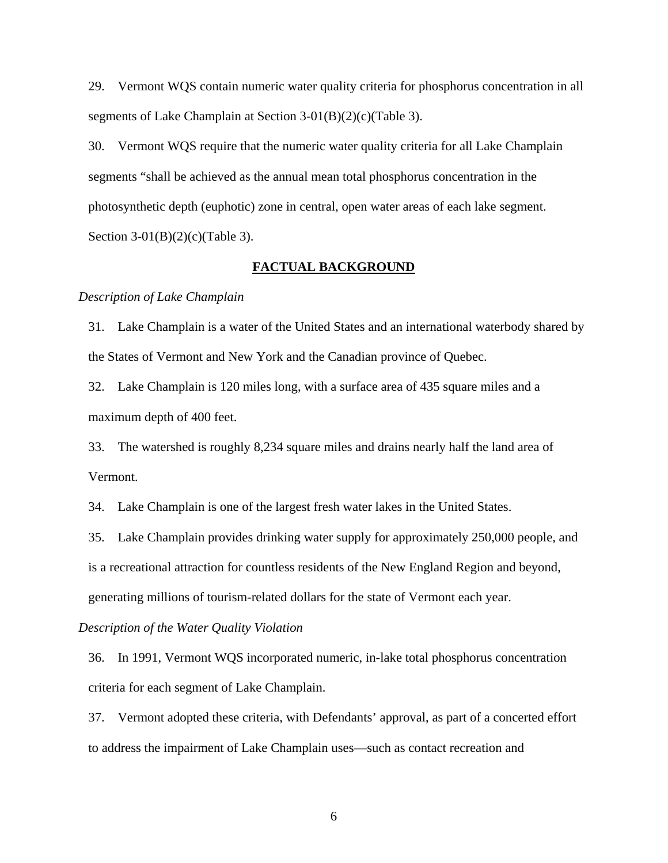29. Vermont WQS contain numeric water quality criteria for phosphorus concentration in all segments of Lake Champlain at Section 3-01(B)(2)(c)(Table 3).

30. Vermont WQS require that the numeric water quality criteria for all Lake Champlain segments "shall be achieved as the annual mean total phosphorus concentration in the photosynthetic depth (euphotic) zone in central, open water areas of each lake segment. Section 3-01(B)(2)(c)(Table 3).

## **FACTUAL BACKGROUND**

#### *Description of Lake Champlain*

31. Lake Champlain is a water of the United States and an international waterbody shared by the States of Vermont and New York and the Canadian province of Quebec.

32. Lake Champlain is 120 miles long, with a surface area of 435 square miles and a maximum depth of 400 feet.

33. The watershed is roughly 8,234 square miles and drains nearly half the land area of Vermont.

34. Lake Champlain is one of the largest fresh water lakes in the United States.

35. Lake Champlain provides drinking water supply for approximately 250,000 people, and is a recreational attraction for countless residents of the New England Region and beyond, generating millions of tourism-related dollars for the state of Vermont each year.

#### *Description of the Water Quality Violation*

36. In 1991, Vermont WQS incorporated numeric, in-lake total phosphorus concentration criteria for each segment of Lake Champlain.

37. Vermont adopted these criteria, with Defendants' approval, as part of a concerted effort to address the impairment of Lake Champlain uses—such as contact recreation and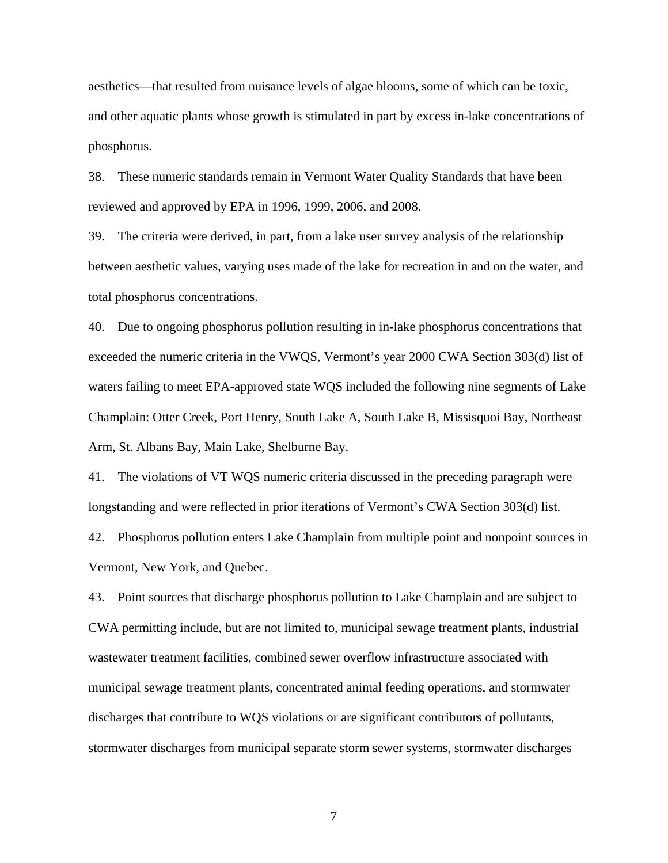aesthetics—that resulted from nuisance levels of algae blooms, some of which can be toxic, and other aquatic plants whose growth is stimulated in part by excess in-lake concentrations of phosphorus.

38. These numeric standards remain in Vermont Water Quality Standards that have been reviewed and approved by EPA in 1996, 1999, 2006, and 2008.

39. The criteria were derived, in part, from a lake user survey analysis of the relationship between aesthetic values, varying uses made of the lake for recreation in and on the water, and total phosphorus concentrations.

40. Due to ongoing phosphorus pollution resulting in in-lake phosphorus concentrations that exceeded the numeric criteria in the VWQS, Vermont's year 2000 CWA Section 303(d) list of waters failing to meet EPA-approved state WQS included the following nine segments of Lake Champlain: Otter Creek, Port Henry, South Lake A, South Lake B, Missisquoi Bay, Northeast Arm, St. Albans Bay, Main Lake, Shelburne Bay.

41. The violations of VT WQS numeric criteria discussed in the preceding paragraph were longstanding and were reflected in prior iterations of Vermont's CWA Section 303(d) list.

42. Phosphorus pollution enters Lake Champlain from multiple point and nonpoint sources in Vermont, New York, and Quebec.

43. Point sources that discharge phosphorus pollution to Lake Champlain and are subject to CWA permitting include, but are not limited to, municipal sewage treatment plants, industrial wastewater treatment facilities, combined sewer overflow infrastructure associated with municipal sewage treatment plants, concentrated animal feeding operations, and stormwater discharges that contribute to WQS violations or are significant contributors of pollutants, stormwater discharges from municipal separate storm sewer systems, stormwater discharges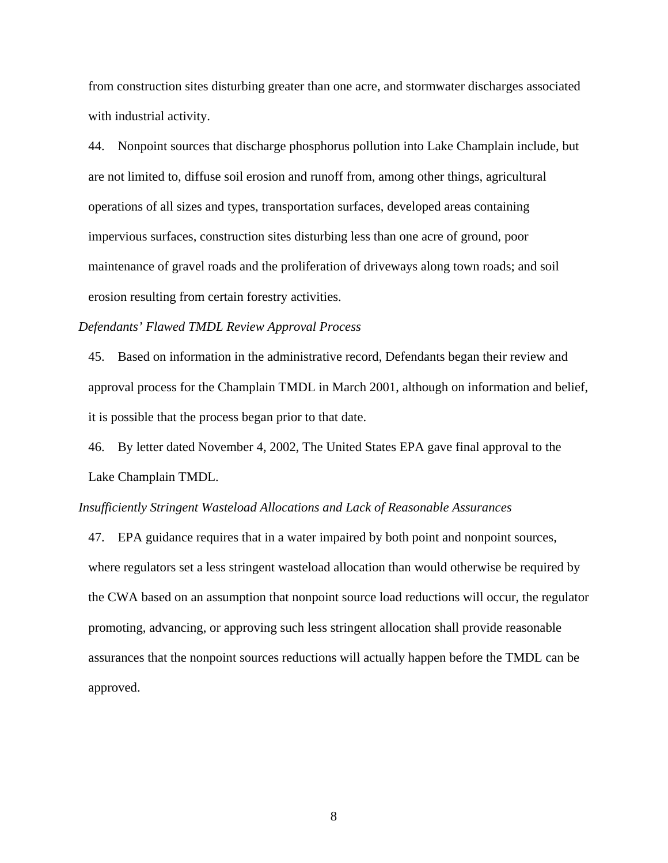from construction sites disturbing greater than one acre, and stormwater discharges associated with industrial activity.

44. Nonpoint sources that discharge phosphorus pollution into Lake Champlain include, but are not limited to, diffuse soil erosion and runoff from, among other things, agricultural operations of all sizes and types, transportation surfaces, developed areas containing impervious surfaces, construction sites disturbing less than one acre of ground, poor maintenance of gravel roads and the proliferation of driveways along town roads; and soil erosion resulting from certain forestry activities.

### *Defendants' Flawed TMDL Review Approval Process*

45. Based on information in the administrative record, Defendants began their review and approval process for the Champlain TMDL in March 2001, although on information and belief, it is possible that the process began prior to that date.

46. By letter dated November 4, 2002, The United States EPA gave final approval to the Lake Champlain TMDL.

### *Insufficiently Stringent Wasteload Allocations and Lack of Reasonable Assurances*

47. EPA guidance requires that in a water impaired by both point and nonpoint sources, where regulators set a less stringent wasteload allocation than would otherwise be required by the CWA based on an assumption that nonpoint source load reductions will occur, the regulator promoting, advancing, or approving such less stringent allocation shall provide reasonable assurances that the nonpoint sources reductions will actually happen before the TMDL can be approved.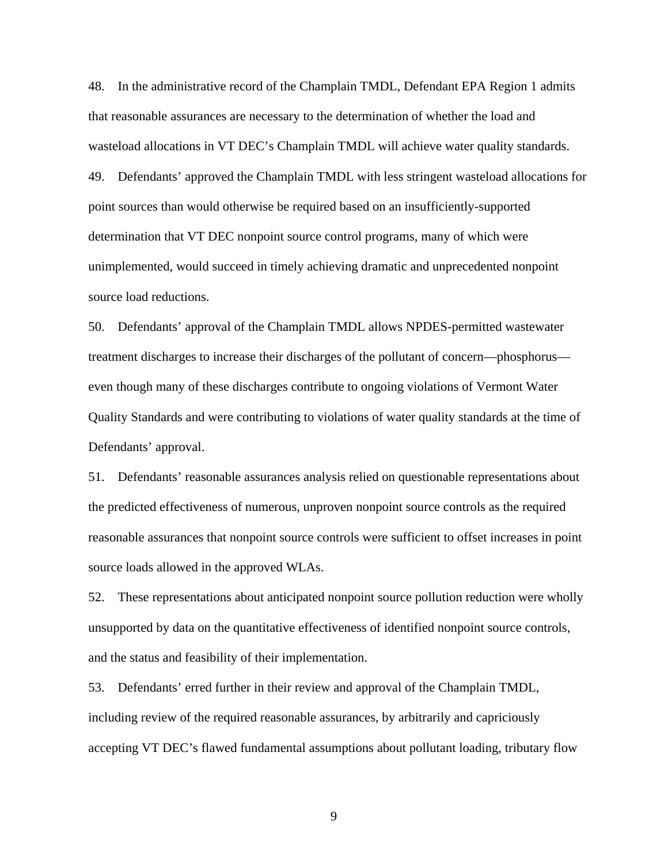48. In the administrative record of the Champlain TMDL, Defendant EPA Region 1 admits that reasonable assurances are necessary to the determination of whether the load and wasteload allocations in VT DEC's Champlain TMDL will achieve water quality standards. 49. Defendants' approved the Champlain TMDL with less stringent wasteload allocations for point sources than would otherwise be required based on an insufficiently-supported determination that VT DEC nonpoint source control programs, many of which were unimplemented, would succeed in timely achieving dramatic and unprecedented nonpoint source load reductions.

50. Defendants' approval of the Champlain TMDL allows NPDES-permitted wastewater treatment discharges to increase their discharges of the pollutant of concern—phosphorus even though many of these discharges contribute to ongoing violations of Vermont Water Quality Standards and were contributing to violations of water quality standards at the time of Defendants' approval.

51. Defendants' reasonable assurances analysis relied on questionable representations about the predicted effectiveness of numerous, unproven nonpoint source controls as the required reasonable assurances that nonpoint source controls were sufficient to offset increases in point source loads allowed in the approved WLAs.

52. These representations about anticipated nonpoint source pollution reduction were wholly unsupported by data on the quantitative effectiveness of identified nonpoint source controls, and the status and feasibility of their implementation.

53. Defendants' erred further in their review and approval of the Champlain TMDL, including review of the required reasonable assurances, by arbitrarily and capriciously accepting VT DEC's flawed fundamental assumptions about pollutant loading, tributary flow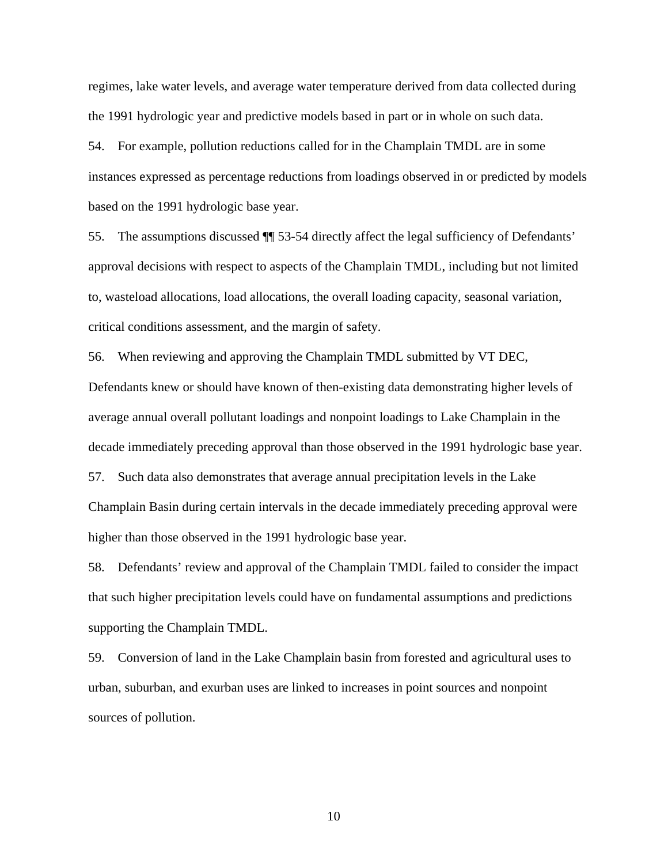regimes, lake water levels, and average water temperature derived from data collected during the 1991 hydrologic year and predictive models based in part or in whole on such data.

54. For example, pollution reductions called for in the Champlain TMDL are in some instances expressed as percentage reductions from loadings observed in or predicted by models based on the 1991 hydrologic base year.

55. The assumptions discussed ¶¶ 53-54 directly affect the legal sufficiency of Defendants' approval decisions with respect to aspects of the Champlain TMDL, including but not limited to, wasteload allocations, load allocations, the overall loading capacity, seasonal variation, critical conditions assessment, and the margin of safety.

56. When reviewing and approving the Champlain TMDL submitted by VT DEC, Defendants knew or should have known of then-existing data demonstrating higher levels of average annual overall pollutant loadings and nonpoint loadings to Lake Champlain in the decade immediately preceding approval than those observed in the 1991 hydrologic base year. 57. Such data also demonstrates that average annual precipitation levels in the Lake Champlain Basin during certain intervals in the decade immediately preceding approval were

higher than those observed in the 1991 hydrologic base year.

58. Defendants' review and approval of the Champlain TMDL failed to consider the impact that such higher precipitation levels could have on fundamental assumptions and predictions supporting the Champlain TMDL.

59. Conversion of land in the Lake Champlain basin from forested and agricultural uses to urban, suburban, and exurban uses are linked to increases in point sources and nonpoint sources of pollution.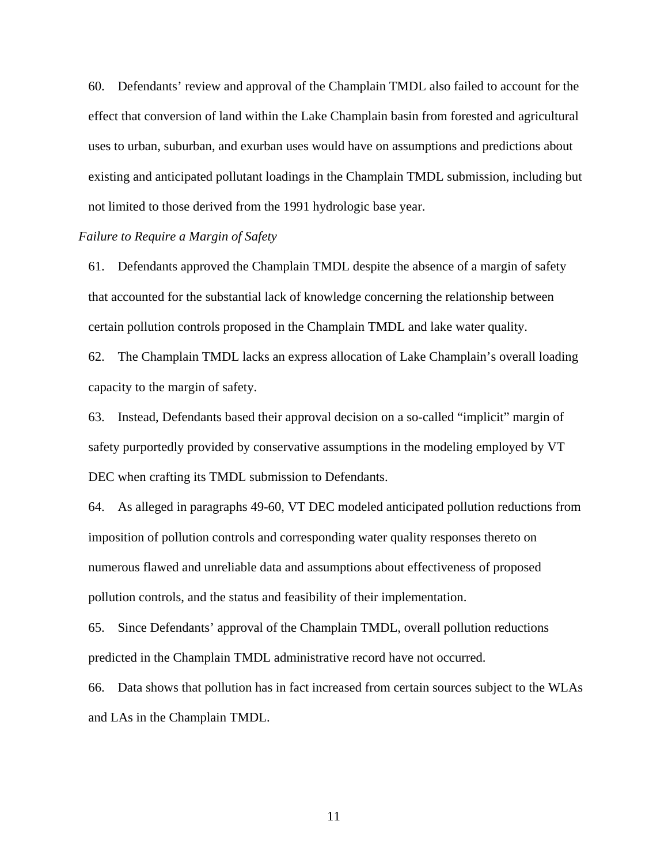60. Defendants' review and approval of the Champlain TMDL also failed to account for the effect that conversion of land within the Lake Champlain basin from forested and agricultural uses to urban, suburban, and exurban uses would have on assumptions and predictions about existing and anticipated pollutant loadings in the Champlain TMDL submission, including but not limited to those derived from the 1991 hydrologic base year.

# *Failure to Require a Margin of Safety*

61. Defendants approved the Champlain TMDL despite the absence of a margin of safety that accounted for the substantial lack of knowledge concerning the relationship between certain pollution controls proposed in the Champlain TMDL and lake water quality.

62. The Champlain TMDL lacks an express allocation of Lake Champlain's overall loading capacity to the margin of safety.

63. Instead, Defendants based their approval decision on a so-called "implicit" margin of safety purportedly provided by conservative assumptions in the modeling employed by VT DEC when crafting its TMDL submission to Defendants.

64. As alleged in paragraphs 49-60, VT DEC modeled anticipated pollution reductions from imposition of pollution controls and corresponding water quality responses thereto on numerous flawed and unreliable data and assumptions about effectiveness of proposed pollution controls, and the status and feasibility of their implementation.

65. Since Defendants' approval of the Champlain TMDL, overall pollution reductions predicted in the Champlain TMDL administrative record have not occurred.

66. Data shows that pollution has in fact increased from certain sources subject to the WLAs and LAs in the Champlain TMDL.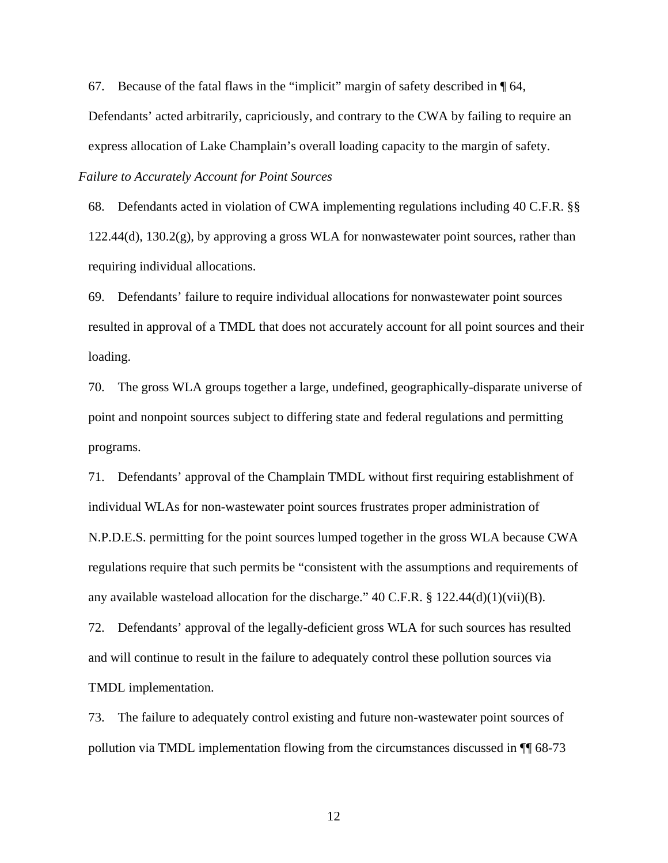67. Because of the fatal flaws in the "implicit" margin of safety described in  $\P$  64, Defendants' acted arbitrarily, capriciously, and contrary to the CWA by failing to require an express allocation of Lake Champlain's overall loading capacity to the margin of safety.

*Failure to Accurately Account for Point Sources* 

68. Defendants acted in violation of CWA implementing regulations including 40 C.F.R. §§ 122.44(d), 130.2(g), by approving a gross WLA for nonwastewater point sources, rather than requiring individual allocations.

69. Defendants' failure to require individual allocations for nonwastewater point sources resulted in approval of a TMDL that does not accurately account for all point sources and their loading.

70. The gross WLA groups together a large, undefined, geographically-disparate universe of point and nonpoint sources subject to differing state and federal regulations and permitting programs.

71. Defendants' approval of the Champlain TMDL without first requiring establishment of individual WLAs for non-wastewater point sources frustrates proper administration of N.P.D.E.S. permitting for the point sources lumped together in the gross WLA because CWA regulations require that such permits be "consistent with the assumptions and requirements of any available wasteload allocation for the discharge."  $40$  C.F.R. § 122.44(d)(1)(vii)(B).

72. Defendants' approval of the legally-deficient gross WLA for such sources has resulted and will continue to result in the failure to adequately control these pollution sources via TMDL implementation.

73. The failure to adequately control existing and future non-wastewater point sources of pollution via TMDL implementation flowing from the circumstances discussed in ¶¶ 68-73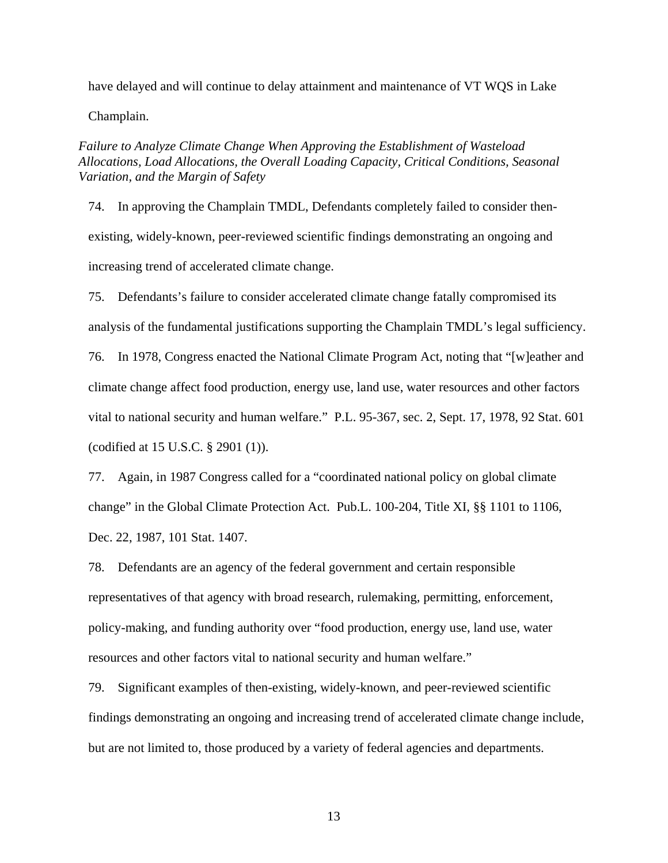have delayed and will continue to delay attainment and maintenance of VT WQS in Lake

Champlain.

*Failure to Analyze Climate Change When Approving the Establishment of Wasteload Allocations, Load Allocations, the Overall Loading Capacity, Critical Conditions, Seasonal Variation, and the Margin of Safety*

74. In approving the Champlain TMDL, Defendants completely failed to consider thenexisting, widely-known, peer-reviewed scientific findings demonstrating an ongoing and increasing trend of accelerated climate change.

75. Defendants's failure to consider accelerated climate change fatally compromised its analysis of the fundamental justifications supporting the Champlain TMDL's legal sufficiency.

76. In 1978, Congress enacted the National Climate Program Act, noting that "[w]eather and climate change affect food production, energy use, land use, water resources and other factors vital to national security and human welfare." P.L. 95-367, sec. 2, Sept. 17, 1978, 92 Stat. 601 (codified at 15 U.S.C. § 2901 (1)).

77. Again, in 1987 Congress called for a "coordinated national policy on global climate change" in the Global Climate Protection Act. Pub.L. 100-204, Title XI, §§ 1101 to 1106, Dec. 22, 1987, 101 Stat. 1407.

78. Defendants are an agency of the federal government and certain responsible representatives of that agency with broad research, rulemaking, permitting, enforcement, policy-making, and funding authority over "food production, energy use, land use, water resources and other factors vital to national security and human welfare."

79. Significant examples of then-existing, widely-known, and peer-reviewed scientific findings demonstrating an ongoing and increasing trend of accelerated climate change include, but are not limited to, those produced by a variety of federal agencies and departments.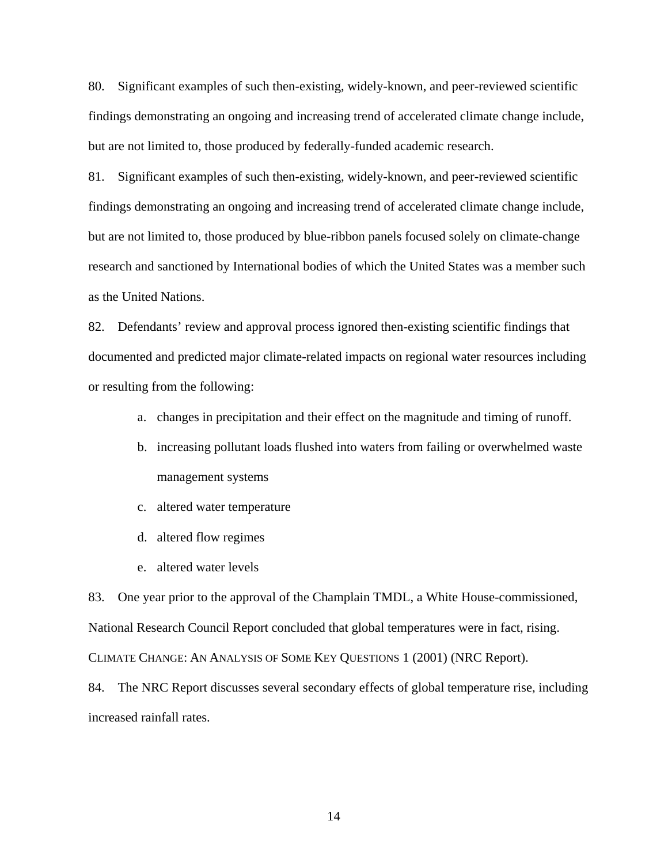80. Significant examples of such then-existing, widely-known, and peer-reviewed scientific findings demonstrating an ongoing and increasing trend of accelerated climate change include, but are not limited to, those produced by federally-funded academic research.

81. Significant examples of such then-existing, widely-known, and peer-reviewed scientific findings demonstrating an ongoing and increasing trend of accelerated climate change include, but are not limited to, those produced by blue-ribbon panels focused solely on climate-change research and sanctioned by International bodies of which the United States was a member such as the United Nations.

82. Defendants' review and approval process ignored then-existing scientific findings that documented and predicted major climate-related impacts on regional water resources including or resulting from the following:

- a. changes in precipitation and their effect on the magnitude and timing of runoff.
- b. increasing pollutant loads flushed into waters from failing or overwhelmed waste management systems
- c. altered water temperature
- d. altered flow regimes
- e. altered water levels

83. One year prior to the approval of the Champlain TMDL, a White House-commissioned, National Research Council Report concluded that global temperatures were in fact, rising. CLIMATE CHANGE: AN ANALYSIS OF SOME KEY QUESTIONS 1 (2001) (NRC Report).

84. The NRC Report discusses several secondary effects of global temperature rise, including increased rainfall rates.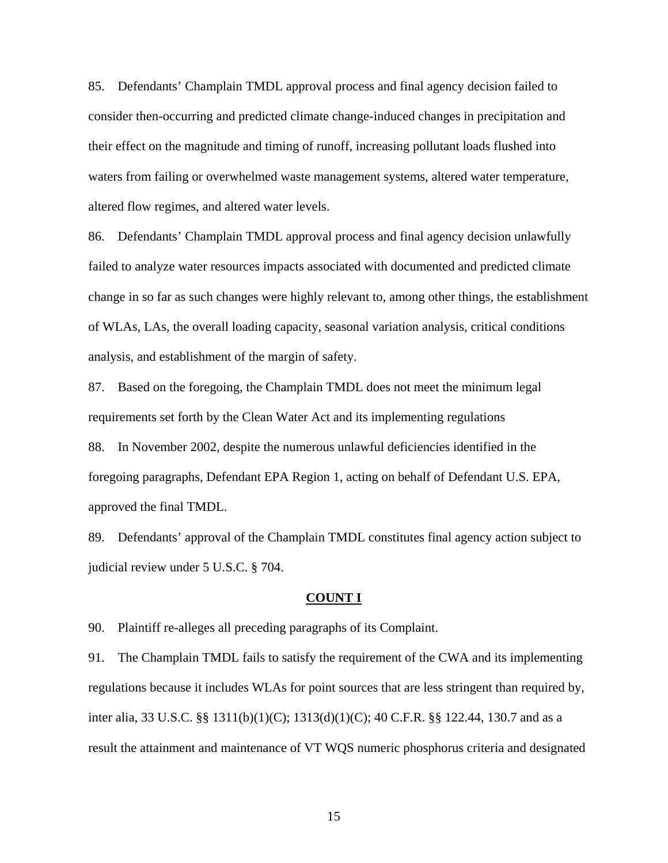85. Defendants' Champlain TMDL approval process and final agency decision failed to consider then-occurring and predicted climate change-induced changes in precipitation and their effect on the magnitude and timing of runoff, increasing pollutant loads flushed into waters from failing or overwhelmed waste management systems, altered water temperature, altered flow regimes, and altered water levels.

86. Defendants' Champlain TMDL approval process and final agency decision unlawfully failed to analyze water resources impacts associated with documented and predicted climate change in so far as such changes were highly relevant to, among other things, the establishment of WLAs, LAs, the overall loading capacity, seasonal variation analysis, critical conditions analysis, and establishment of the margin of safety.

87. Based on the foregoing, the Champlain TMDL does not meet the minimum legal requirements set forth by the Clean Water Act and its implementing regulations

88. In November 2002, despite the numerous unlawful deficiencies identified in the foregoing paragraphs, Defendant EPA Region 1, acting on behalf of Defendant U.S. EPA, approved the final TMDL.

89. Defendants' approval of the Champlain TMDL constitutes final agency action subject to judicial review under 5 U.S.C. § 704.

### **COUNT I**

90. Plaintiff re-alleges all preceding paragraphs of its Complaint.

91. The Champlain TMDL fails to satisfy the requirement of the CWA and its implementing regulations because it includes WLAs for point sources that are less stringent than required by, inter alia, 33 U.S.C. §§ 1311(b)(1)(C); 1313(d)(1)(C); 40 C.F.R. §§ 122.44, 130.7 and as a result the attainment and maintenance of VT WQS numeric phosphorus criteria and designated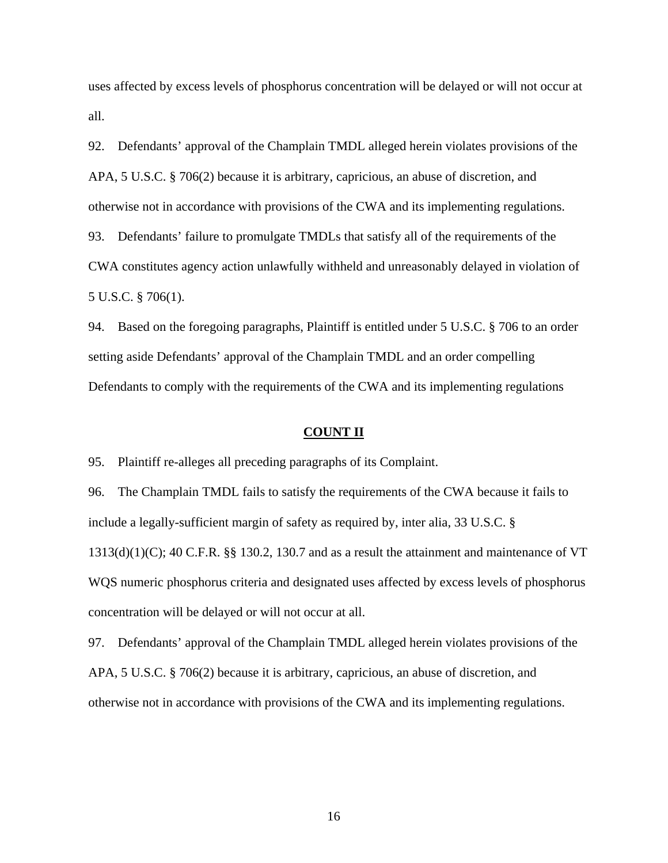uses affected by excess levels of phosphorus concentration will be delayed or will not occur at all.

92. Defendants' approval of the Champlain TMDL alleged herein violates provisions of the APA, 5 U.S.C. § 706(2) because it is arbitrary, capricious, an abuse of discretion, and otherwise not in accordance with provisions of the CWA and its implementing regulations. 93. Defendants' failure to promulgate TMDLs that satisfy all of the requirements of the CWA constitutes agency action unlawfully withheld and unreasonably delayed in violation of 5 U.S.C. § 706(1).

94. Based on the foregoing paragraphs, Plaintiff is entitled under 5 U.S.C. § 706 to an order setting aside Defendants' approval of the Champlain TMDL and an order compelling Defendants to comply with the requirements of the CWA and its implementing regulations

## **COUNT II**

95. Plaintiff re-alleges all preceding paragraphs of its Complaint.

96. The Champlain TMDL fails to satisfy the requirements of the CWA because it fails to include a legally-sufficient margin of safety as required by, inter alia, 33 U.S.C. §  $1313(d)(1)(C)$ ; 40 C.F.R. §§ 130.2, 130.7 and as a result the attainment and maintenance of VT WQS numeric phosphorus criteria and designated uses affected by excess levels of phosphorus concentration will be delayed or will not occur at all.

97. Defendants' approval of the Champlain TMDL alleged herein violates provisions of the APA, 5 U.S.C. § 706(2) because it is arbitrary, capricious, an abuse of discretion, and otherwise not in accordance with provisions of the CWA and its implementing regulations.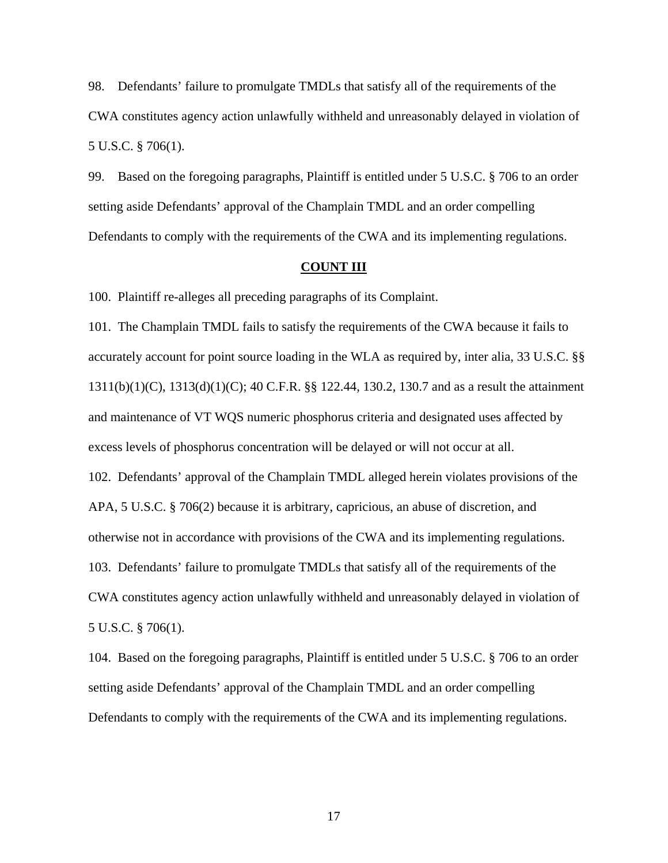98. Defendants' failure to promulgate TMDLs that satisfy all of the requirements of the CWA constitutes agency action unlawfully withheld and unreasonably delayed in violation of 5 U.S.C. § 706(1).

99. Based on the foregoing paragraphs, Plaintiff is entitled under 5 U.S.C. § 706 to an order setting aside Defendants' approval of the Champlain TMDL and an order compelling Defendants to comply with the requirements of the CWA and its implementing regulations.

## **COUNT III**

100. Plaintiff re-alleges all preceding paragraphs of its Complaint.

101. The Champlain TMDL fails to satisfy the requirements of the CWA because it fails to accurately account for point source loading in the WLA as required by, inter alia, 33 U.S.C. §§ 1311(b)(1)(C), 1313(d)(1)(C); 40 C.F.R. §§ 122.44, 130.2, 130.7 and as a result the attainment and maintenance of VT WQS numeric phosphorus criteria and designated uses affected by excess levels of phosphorus concentration will be delayed or will not occur at all. 102. Defendants' approval of the Champlain TMDL alleged herein violates provisions of the APA, 5 U.S.C. § 706(2) because it is arbitrary, capricious, an abuse of discretion, and otherwise not in accordance with provisions of the CWA and its implementing regulations. 103. Defendants' failure to promulgate TMDLs that satisfy all of the requirements of the CWA constitutes agency action unlawfully withheld and unreasonably delayed in violation of 5 U.S.C. § 706(1).

104. Based on the foregoing paragraphs, Plaintiff is entitled under 5 U.S.C. § 706 to an order setting aside Defendants' approval of the Champlain TMDL and an order compelling Defendants to comply with the requirements of the CWA and its implementing regulations.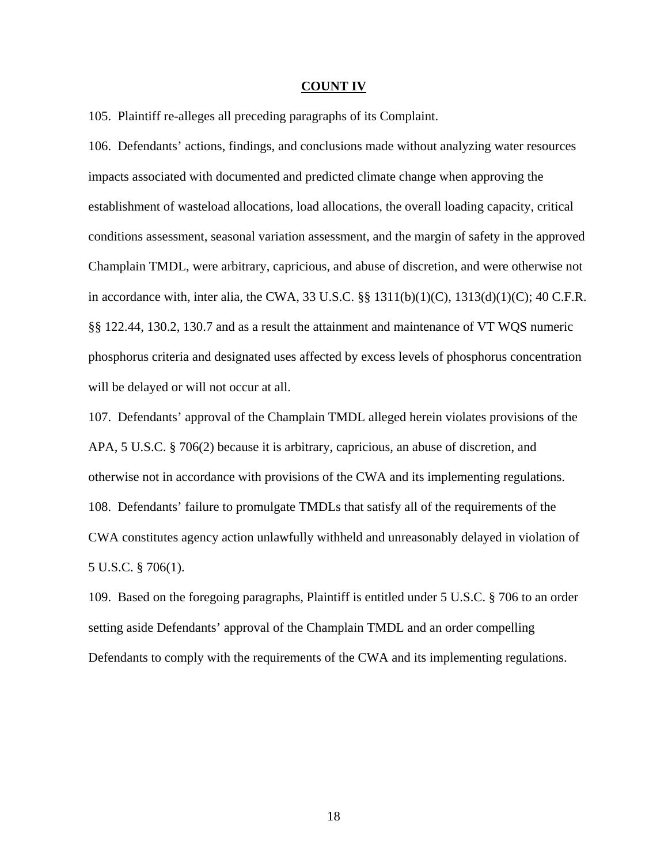### **COUNT IV**

105. Plaintiff re-alleges all preceding paragraphs of its Complaint.

106. Defendants' actions, findings, and conclusions made without analyzing water resources impacts associated with documented and predicted climate change when approving the establishment of wasteload allocations, load allocations, the overall loading capacity, critical conditions assessment, seasonal variation assessment, and the margin of safety in the approved Champlain TMDL, were arbitrary, capricious, and abuse of discretion, and were otherwise not in accordance with, inter alia, the CWA, 33 U.S.C.  $\S$ § 1311(b)(1)(C), 1313(d)(1)(C); 40 C.F.R. §§ 122.44, 130.2, 130.7 and as a result the attainment and maintenance of VT WQS numeric phosphorus criteria and designated uses affected by excess levels of phosphorus concentration will be delayed or will not occur at all.

107. Defendants' approval of the Champlain TMDL alleged herein violates provisions of the APA, 5 U.S.C. § 706(2) because it is arbitrary, capricious, an abuse of discretion, and otherwise not in accordance with provisions of the CWA and its implementing regulations. 108. Defendants' failure to promulgate TMDLs that satisfy all of the requirements of the CWA constitutes agency action unlawfully withheld and unreasonably delayed in violation of 5 U.S.C. § 706(1).

109. Based on the foregoing paragraphs, Plaintiff is entitled under 5 U.S.C. § 706 to an order setting aside Defendants' approval of the Champlain TMDL and an order compelling Defendants to comply with the requirements of the CWA and its implementing regulations.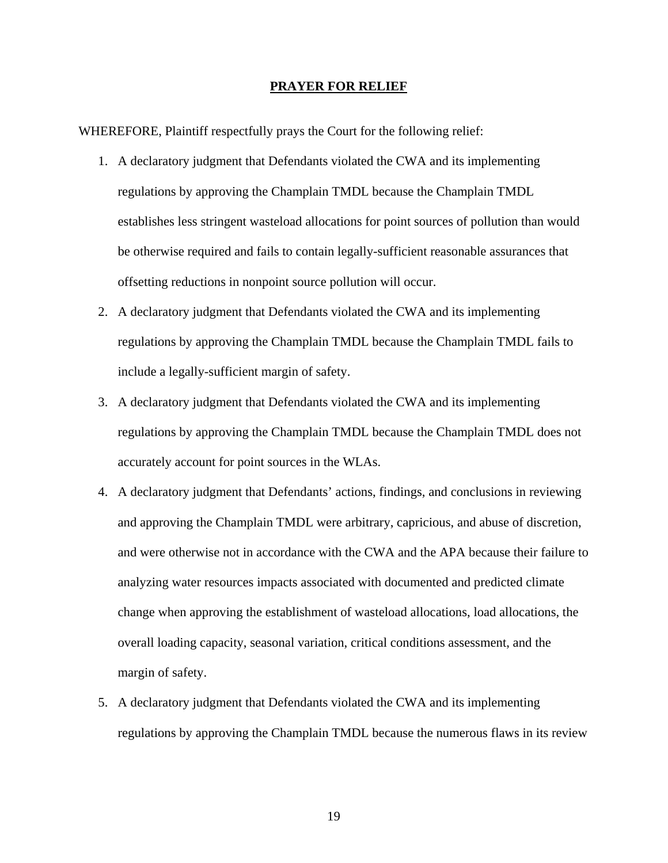#### **PRAYER FOR RELIEF**

WHEREFORE, Plaintiff respectfully prays the Court for the following relief:

- 1. A declaratory judgment that Defendants violated the CWA and its implementing regulations by approving the Champlain TMDL because the Champlain TMDL establishes less stringent wasteload allocations for point sources of pollution than would be otherwise required and fails to contain legally-sufficient reasonable assurances that offsetting reductions in nonpoint source pollution will occur.
- 2. A declaratory judgment that Defendants violated the CWA and its implementing regulations by approving the Champlain TMDL because the Champlain TMDL fails to include a legally-sufficient margin of safety.
- 3. A declaratory judgment that Defendants violated the CWA and its implementing regulations by approving the Champlain TMDL because the Champlain TMDL does not accurately account for point sources in the WLAs.
- 4. A declaratory judgment that Defendants' actions, findings, and conclusions in reviewing and approving the Champlain TMDL were arbitrary, capricious, and abuse of discretion, and were otherwise not in accordance with the CWA and the APA because their failure to analyzing water resources impacts associated with documented and predicted climate change when approving the establishment of wasteload allocations, load allocations, the overall loading capacity, seasonal variation, critical conditions assessment, and the margin of safety.
- 5. A declaratory judgment that Defendants violated the CWA and its implementing regulations by approving the Champlain TMDL because the numerous flaws in its review